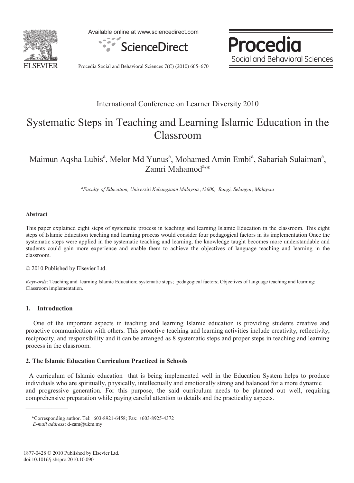

Available online at www.sciencedirect.com



Procedia Social and Behavioral Sciences

Procedia Social and Behavioral Sciences 7(C) (2010) 665–670

### International Conference on Learner Diversity 2010

# Systematic Steps in Teaching and Learning Islamic Education in the Classroom

Maimun Aqsha Lubis<sup>a</sup>, Melor Md Yunus<sup>a</sup>, Mohamed Amin Embi<sup>a</sup>, Sabariah Sulaiman<sup>a</sup>, Zamri Mahamod $a, *$ 

*a Faculty of Education, Universiti Kebangsaan Malaysia ,43600, Bangi, Selangor, Malaysia* 

#### **Abstract**

This paper explained eight steps of systematic process in teaching and learning Islamic Education in the classroom. This eight steps of Islamic Education teaching and learning process would consider four pedagogical factors in its implementation Once the systematic steps were applied in the systematic teaching and learning, the knowledge taught becomes more understandable and students could gain more experience and enable them to achieve the objectives of language teaching and learning in the classroom.

© 2010 Published by Elsevier Ltd.

*Keywords*: Teaching and learning Islamic Education; systematic steps; pedagogical factors; Objectives of language teaching and learning; Classroom implementation.

#### **1. Introduction**

 $\frac{1}{2}$ 

One of the important aspects in teaching and learning Islamic education is providing students creative and proactive communication with others. This proactive teaching and learning activities include creativity, reflectivity, reciprocity, and responsibility and it can be arranged as 8 systematic steps and proper steps in teaching and learning process in the classroom.

#### **2. The Islamic Education Curriculum Practiced in Schools**

 A curriculum of Islamic education that is being implemented well in the Education System helps to produce individuals who are spiritually, physically, intellectually and emotionally strong and balanced for a more dynamic and progressive generation. For this purpose, the said curriculum needs to be planned out well, requiring comprehensive preparation while paying careful attention to details and the practicality aspects.

<sup>\*</sup>Corresponding author. Tel:+603-8921-6458; Fax: +603-8925-4372

*E-mail address*: d-zam@ukm.my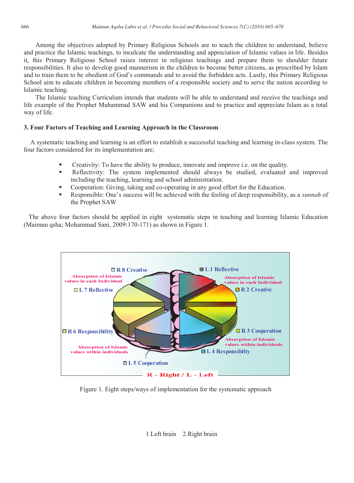Among the objectives adopted by Primary Religious Schools are to teach the children to understand, believe and practice the Islamic teachings, to inculcate the understanding and appreciation of Islamic values in life. Besides it, this Primary Religious School raises interest in religious teachings and prepare them to shoulder future responsibilities. It also to develop good mannerism in the children to become better citizens, as prescribed by Islam and to train them to be obedient of God's commands and to avoid the forbidden acts. Lastly, this Primary Religious School aim to educate children in becoming members of a responsible society and to serve the nation according to Islamic teaching.

The Islamic teaching Curriculum intends that students will be able to understand and receive the teachings and life example of the Prophet Muhammad SAW and his Companions and to practice and appreciate Islam as a total way of life.

#### **3. Four Factors of Teaching and Learning Approach in the Classroom**

 A systematic teaching and learning is an effort to establish a successful teaching and learning in-class system. The four factors considered for its implementation are;

- Creativity: To have the ability to produce, innovate and improve i.e. on the quality.
- Reflectivity: The system implemented should always be studied, evaluated and improved including the teaching, learning and school administration.
- Cooperation: Giving, taking and co-operating in any good effort for the Education.
- Responsible: One's success will be achieved with the feeling of deep responsibility, as a *sunnah* of the Prophet SAW

 The above four factors should be applied in eight systematic steps in teaching and learning Islamic Education (Maimun qsha; Mohammad Sani, 2009:170-171) as shown in Figure 1.



Figure 1. Eight steps/ways of implementation for the systematic approach